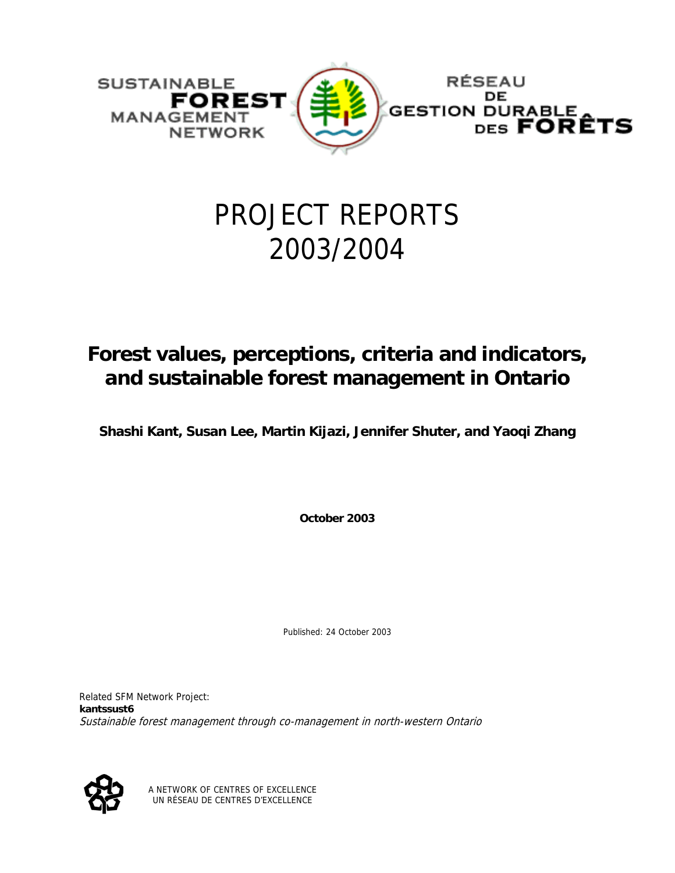

# PROJECT REPORTS 2003/2004

# **Forest values, perceptions, criteria and indicators, and sustainable forest management in Ontario**

**Shashi Kant, Susan Lee, Martin Kijazi, Jennifer Shuter, and Yaoqi Zhang** 

**October 2003** 

Published: 24 October 2003

Related SFM Network Project: **kantssust6** Sustainable forest management through co-management in north-western Ontario



A NETWORK OF CENTRES OF EXCELLENCE UN RÉSEAU DE CENTRES D'EXCELLENCE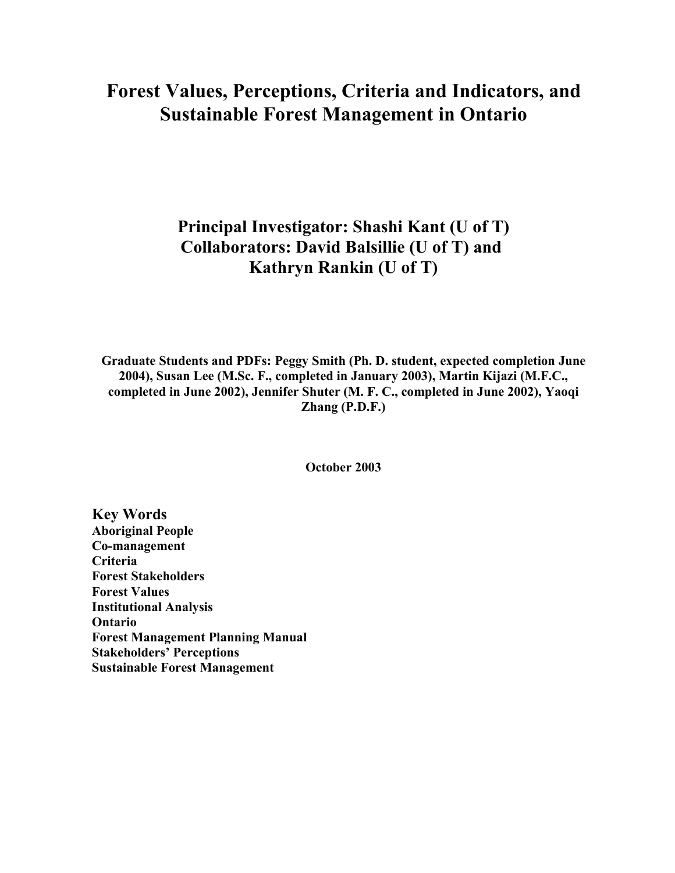# **Forest Values, Perceptions, Criteria and Indicators, and Sustainable Forest Management in Ontario**

# **Principal Investigator: Shashi Kant (U of T) Collaborators: David Balsillie (U of T) and Kathryn Rankin (U of T)**

**Graduate Students and PDFs: Peggy Smith (Ph. D. student, expected completion June 2004), Susan Lee (M.Sc. F., completed in January 2003), Martin Kijazi (M.F.C., completed in June 2002), Jennifer Shuter (M. F. C., completed in June 2002), Yaoqi Zhang (P.D.F.)**

**October 2003**

**Key Words Aboriginal People Co-management Criteria Forest Stakeholders Forest Values Institutional Analysis Ontario Forest Management Planning Manual Stakeholders' Perceptions Sustainable Forest Management**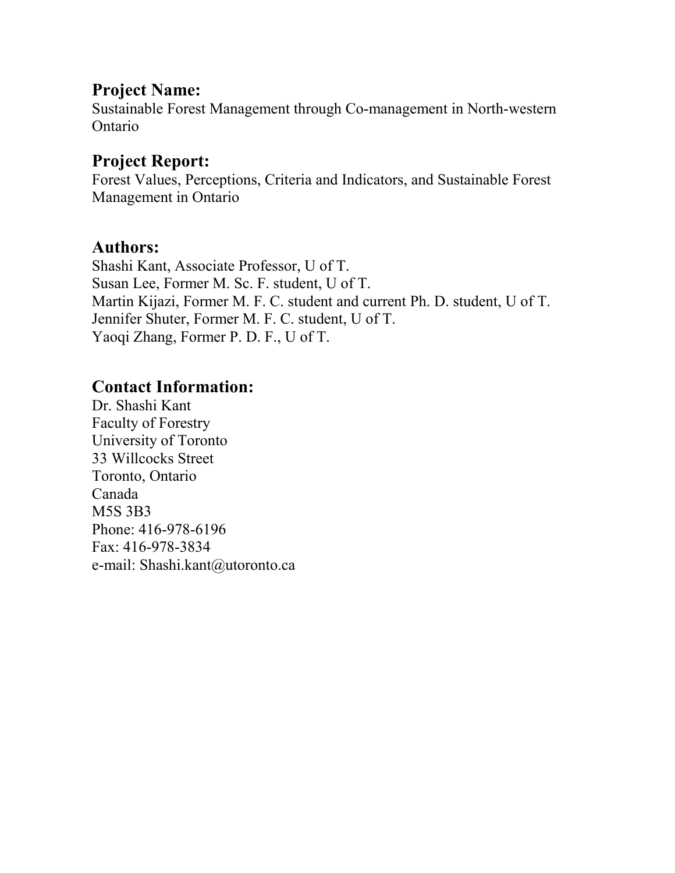# **Project Name:**

Sustainable Forest Management through Co-management in North-western Ontario

# **Project Report:**

Forest Values, Perceptions, Criteria and Indicators, and Sustainable Forest Management in Ontario

### **Authors:**

Shashi Kant, Associate Professor, U of T. Susan Lee, Former M. Sc. F. student, U of T. Martin Kijazi, Former M. F. C. student and current Ph. D. student, U of T. Jennifer Shuter, Former M. F. C. student, U of T. Yaoqi Zhang, Former P. D. F., U of T.

# **Contact Information:**

Dr. Shashi Kant Faculty of Forestry University of Toronto 33 Willcocks Street Toronto, Ontario Canada M5S 3B3 Phone: 416-978-6196 Fax: 416-978-3834 e-mail: Shashi.kant@utoronto.ca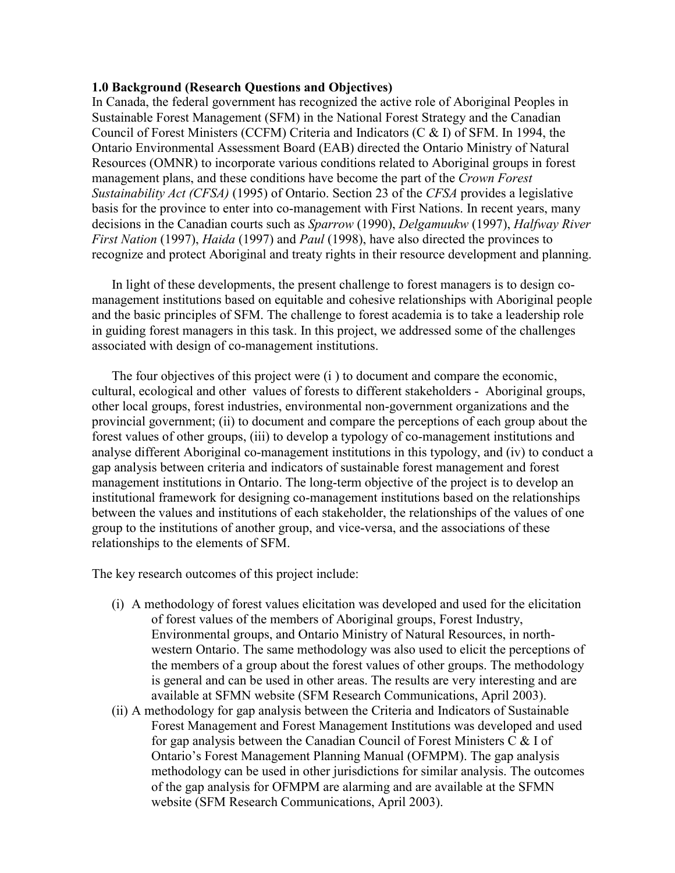#### **1.0 Background (Research Questions and Objectives)**

In Canada, the federal government has recognized the active role of Aboriginal Peoples in Sustainable Forest Management (SFM) in the National Forest Strategy and the Canadian Council of Forest Ministers (CCFM) Criteria and Indicators (C & I) of SFM. In 1994, the Ontario Environmental Assessment Board (EAB) directed the Ontario Ministry of Natural Resources (OMNR) to incorporate various conditions related to Aboriginal groups in forest management plans, and these conditions have become the part of the *Crown Forest Sustainability Act (CFSA)* (1995) of Ontario. Section 23 of the *CFSA* provides a legislative basis for the province to enter into co-management with First Nations. In recent years, many decisions in the Canadian courts such as *Sparrow* (1990), *Delgamuukw* (1997), *Halfway River First Nation* (1997), *Haida* (1997) and *Paul* (1998), have also directed the provinces to recognize and protect Aboriginal and treaty rights in their resource development and planning.

In light of these developments, the present challenge to forest managers is to design comanagement institutions based on equitable and cohesive relationships with Aboriginal people and the basic principles of SFM. The challenge to forest academia is to take a leadership role in guiding forest managers in this task. In this project, we addressed some of the challenges associated with design of co-management institutions.

The four objectives of this project were (i ) to document and compare the economic, cultural, ecological and other values of forests to different stakeholders - Aboriginal groups, other local groups, forest industries, environmental non-government organizations and the provincial government; (ii) to document and compare the perceptions of each group about the forest values of other groups, (iii) to develop a typology of co-management institutions and analyse different Aboriginal co-management institutions in this typology, and (iv) to conduct a gap analysis between criteria and indicators of sustainable forest management and forest management institutions in Ontario. The long-term objective of the project is to develop an institutional framework for designing co-management institutions based on the relationships between the values and institutions of each stakeholder, the relationships of the values of one group to the institutions of another group, and vice-versa, and the associations of these relationships to the elements of SFM.

The key research outcomes of this project include:

- (i) A methodology of forest values elicitation was developed and used for the elicitation of forest values of the members of Aboriginal groups, Forest Industry, Environmental groups, and Ontario Ministry of Natural Resources, in northwestern Ontario. The same methodology was also used to elicit the perceptions of the members of a group about the forest values of other groups. The methodology is general and can be used in other areas. The results are very interesting and are available at SFMN website (SFM Research Communications, April 2003).
- (ii) A methodology for gap analysis between the Criteria and Indicators of Sustainable Forest Management and Forest Management Institutions was developed and used for gap analysis between the Canadian Council of Forest Ministers C & I of Ontario's Forest Management Planning Manual (OFMPM). The gap analysis methodology can be used in other jurisdictions for similar analysis. The outcomes of the gap analysis for OFMPM are alarming and are available at the SFMN website (SFM Research Communications, April 2003).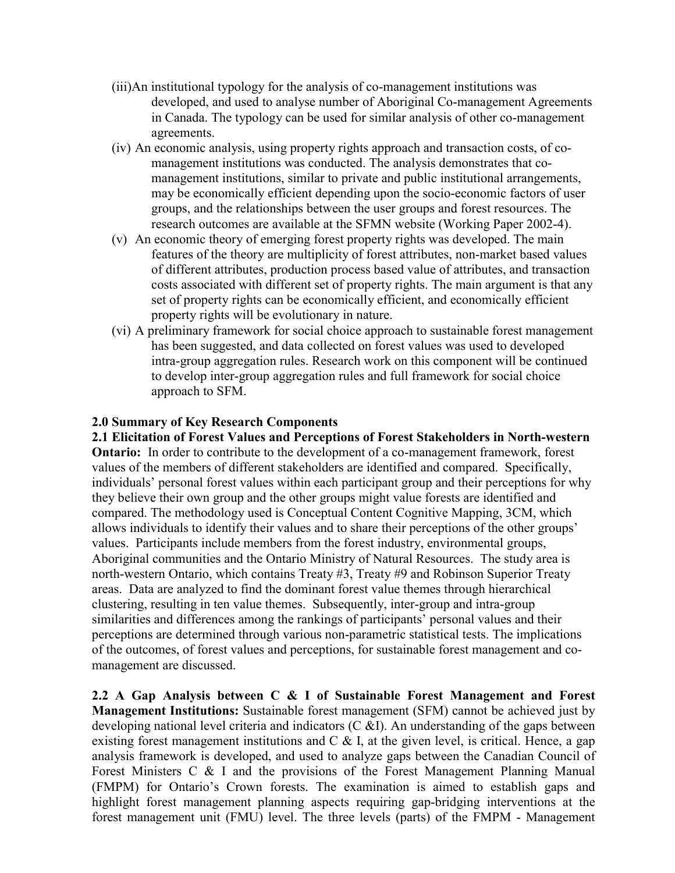- (iii)An institutional typology for the analysis of co-management institutions was developed, and used to analyse number of Aboriginal Co-management Agreements in Canada. The typology can be used for similar analysis of other co-management agreements.
- (iv) An economic analysis, using property rights approach and transaction costs, of comanagement institutions was conducted. The analysis demonstrates that comanagement institutions, similar to private and public institutional arrangements, may be economically efficient depending upon the socio-economic factors of user groups, and the relationships between the user groups and forest resources. The research outcomes are available at the SFMN website (Working Paper 2002-4).
- (v) An economic theory of emerging forest property rights was developed. The main features of the theory are multiplicity of forest attributes, non-market based values of different attributes, production process based value of attributes, and transaction costs associated with different set of property rights. The main argument is that any set of property rights can be economically efficient, and economically efficient property rights will be evolutionary in nature.
- (vi) A preliminary framework for social choice approach to sustainable forest management has been suggested, and data collected on forest values was used to developed intra-group aggregation rules. Research work on this component will be continued to develop inter-group aggregation rules and full framework for social choice approach to SFM.

#### **2.0 Summary of Key Research Components**

**2.1 Elicitation of Forest Values and Perceptions of Forest Stakeholders in North-western Ontario:** In order to contribute to the development of a co-management framework, forest values of the members of different stakeholders are identified and compared. Specifically, individuals' personal forest values within each participant group and their perceptions for why they believe their own group and the other groups might value forests are identified and compared. The methodology used is Conceptual Content Cognitive Mapping, 3CM, which allows individuals to identify their values and to share their perceptions of the other groups' values. Participants include members from the forest industry, environmental groups, Aboriginal communities and the Ontario Ministry of Natural Resources. The study area is north-western Ontario, which contains Treaty #3, Treaty #9 and Robinson Superior Treaty areas. Data are analyzed to find the dominant forest value themes through hierarchical clustering, resulting in ten value themes. Subsequently, inter-group and intra-group similarities and differences among the rankings of participants' personal values and their perceptions are determined through various non-parametric statistical tests. The implications of the outcomes, of forest values and perceptions, for sustainable forest management and comanagement are discussed.

**2.2 A Gap Analysis between C & I of Sustainable Forest Management and Forest Management Institutions:** Sustainable forest management (SFM) cannot be achieved just by developing national level criteria and indicators  $(C \& I)$ . An understanding of the gaps between existing forest management institutions and  $C \& S$  I, at the given level, is critical. Hence, a gap analysis framework is developed, and used to analyze gaps between the Canadian Council of Forest Ministers C & I and the provisions of the Forest Management Planning Manual (FMPM) for Ontario's Crown forests. The examination is aimed to establish gaps and highlight forest management planning aspects requiring gap-bridging interventions at the forest management unit (FMU) level. The three levels (parts) of the FMPM - Management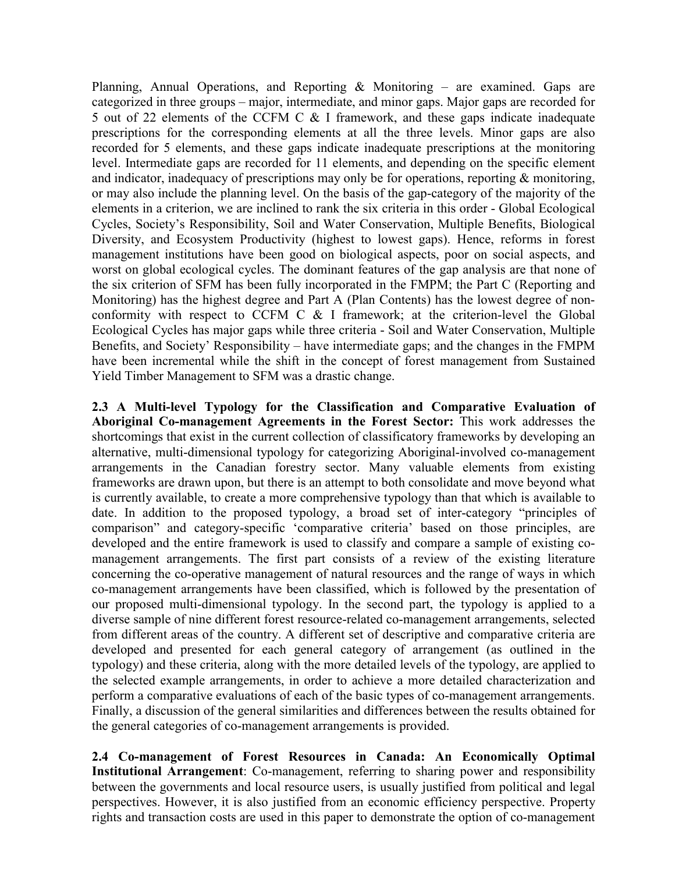Planning, Annual Operations, and Reporting & Monitoring – are examined. Gaps are categorized in three groups – major, intermediate, and minor gaps. Major gaps are recorded for 5 out of 22 elements of the CCFM C & I framework, and these gaps indicate inadequate prescriptions for the corresponding elements at all the three levels. Minor gaps are also recorded for 5 elements, and these gaps indicate inadequate prescriptions at the monitoring level. Intermediate gaps are recorded for 11 elements, and depending on the specific element and indicator, inadequacy of prescriptions may only be for operations, reporting & monitoring, or may also include the planning level. On the basis of the gap-category of the majority of the elements in a criterion, we are inclined to rank the six criteria in this order - Global Ecological Cycles, Society's Responsibility, Soil and Water Conservation, Multiple Benefits, Biological Diversity, and Ecosystem Productivity (highest to lowest gaps). Hence, reforms in forest management institutions have been good on biological aspects, poor on social aspects, and worst on global ecological cycles. The dominant features of the gap analysis are that none of the six criterion of SFM has been fully incorporated in the FMPM; the Part C (Reporting and Monitoring) has the highest degree and Part A (Plan Contents) has the lowest degree of nonconformity with respect to CCFM C & I framework; at the criterion-level the Global Ecological Cycles has major gaps while three criteria - Soil and Water Conservation, Multiple Benefits, and Society' Responsibility – have intermediate gaps; and the changes in the FMPM have been incremental while the shift in the concept of forest management from Sustained Yield Timber Management to SFM was a drastic change.

**2.3 A Multi-level Typology for the Classification and Comparative Evaluation of Aboriginal Co-management Agreements in the Forest Sector:** This work addresses the shortcomings that exist in the current collection of classificatory frameworks by developing an alternative, multi-dimensional typology for categorizing Aboriginal-involved co-management arrangements in the Canadian forestry sector. Many valuable elements from existing frameworks are drawn upon, but there is an attempt to both consolidate and move beyond what is currently available, to create a more comprehensive typology than that which is available to date. In addition to the proposed typology, a broad set of inter-category "principles of comparison" and category-specific 'comparative criteria' based on those principles, are developed and the entire framework is used to classify and compare a sample of existing comanagement arrangements. The first part consists of a review of the existing literature concerning the co-operative management of natural resources and the range of ways in which co-management arrangements have been classified, which is followed by the presentation of our proposed multi-dimensional typology. In the second part, the typology is applied to a diverse sample of nine different forest resource-related co-management arrangements, selected from different areas of the country. A different set of descriptive and comparative criteria are developed and presented for each general category of arrangement (as outlined in the typology) and these criteria, along with the more detailed levels of the typology, are applied to the selected example arrangements, in order to achieve a more detailed characterization and perform a comparative evaluations of each of the basic types of co-management arrangements. Finally, a discussion of the general similarities and differences between the results obtained for the general categories of co-management arrangements is provided.

**2.4 Co-management of Forest Resources in Canada: An Economically Optimal Institutional Arrangement**: Co-management, referring to sharing power and responsibility between the governments and local resource users, is usually justified from political and legal perspectives. However, it is also justified from an economic efficiency perspective. Property rights and transaction costs are used in this paper to demonstrate the option of co-management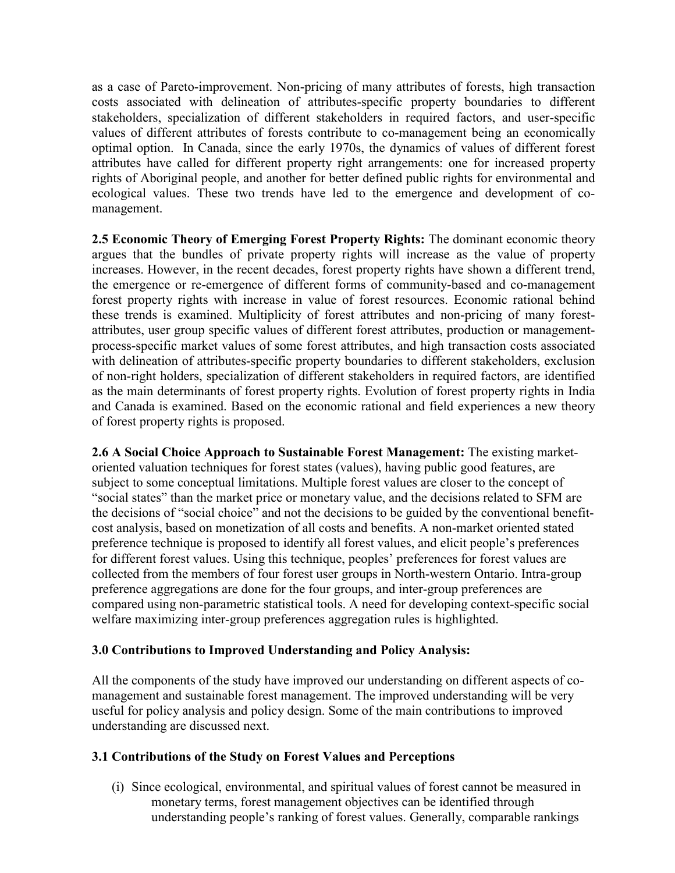as a case of Pareto-improvement. Non-pricing of many attributes of forests, high transaction costs associated with delineation of attributes-specific property boundaries to different stakeholders, specialization of different stakeholders in required factors, and user-specific values of different attributes of forests contribute to co-management being an economically optimal option. In Canada, since the early 1970s, the dynamics of values of different forest attributes have called for different property right arrangements: one for increased property rights of Aboriginal people, and another for better defined public rights for environmental and ecological values. These two trends have led to the emergence and development of comanagement.

**2.5 Economic Theory of Emerging Forest Property Rights:** The dominant economic theory argues that the bundles of private property rights will increase as the value of property increases. However, in the recent decades, forest property rights have shown a different trend, the emergence or re-emergence of different forms of community-based and co-management forest property rights with increase in value of forest resources. Economic rational behind these trends is examined. Multiplicity of forest attributes and non-pricing of many forestattributes, user group specific values of different forest attributes, production or managementprocess-specific market values of some forest attributes, and high transaction costs associated with delineation of attributes-specific property boundaries to different stakeholders, exclusion of non-right holders, specialization of different stakeholders in required factors, are identified as the main determinants of forest property rights. Evolution of forest property rights in India and Canada is examined. Based on the economic rational and field experiences a new theory of forest property rights is proposed.

**2.6 A Social Choice Approach to Sustainable Forest Management:** The existing marketoriented valuation techniques for forest states (values), having public good features, are subject to some conceptual limitations. Multiple forest values are closer to the concept of "social states" than the market price or monetary value, and the decisions related to SFM are the decisions of "social choice" and not the decisions to be guided by the conventional benefitcost analysis, based on monetization of all costs and benefits. A non-market oriented stated preference technique is proposed to identify all forest values, and elicit people's preferences for different forest values. Using this technique, peoples' preferences for forest values are collected from the members of four forest user groups in North-western Ontario. Intra-group preference aggregations are done for the four groups, and inter-group preferences are compared using non-parametric statistical tools. A need for developing context-specific social welfare maximizing inter-group preferences aggregation rules is highlighted.

#### **3.0 Contributions to Improved Understanding and Policy Analysis:**

All the components of the study have improved our understanding on different aspects of comanagement and sustainable forest management. The improved understanding will be very useful for policy analysis and policy design. Some of the main contributions to improved understanding are discussed next.

#### **3.1 Contributions of the Study on Forest Values and Perceptions**

(i) Since ecological, environmental, and spiritual values of forest cannot be measured in monetary terms, forest management objectives can be identified through understanding people's ranking of forest values. Generally, comparable rankings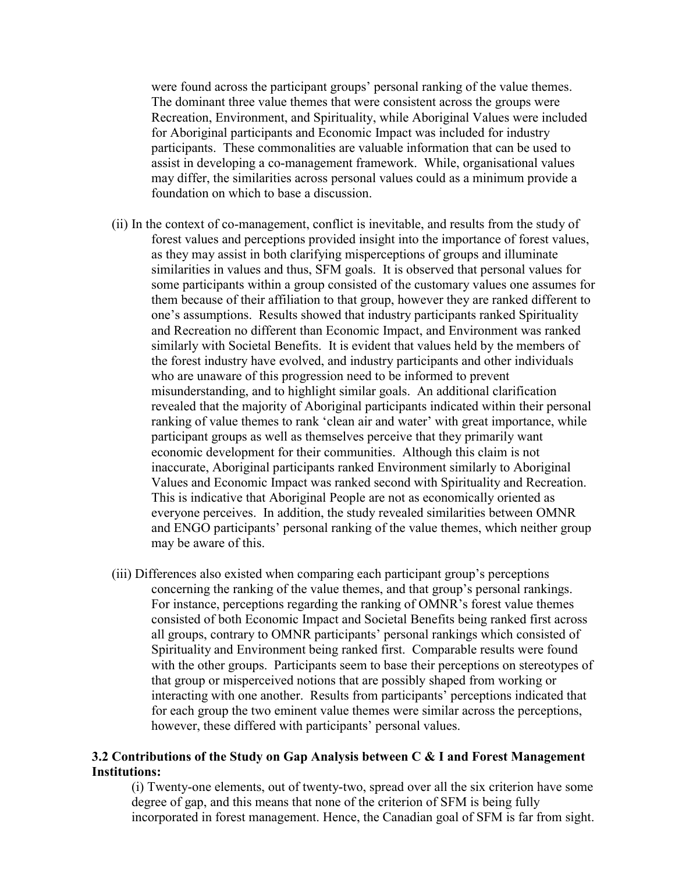were found across the participant groups' personal ranking of the value themes. The dominant three value themes that were consistent across the groups were Recreation, Environment, and Spirituality, while Aboriginal Values were included for Aboriginal participants and Economic Impact was included for industry participants. These commonalities are valuable information that can be used to assist in developing a co-management framework. While, organisational values may differ, the similarities across personal values could as a minimum provide a foundation on which to base a discussion.

- (ii) In the context of co-management, conflict is inevitable, and results from the study of forest values and perceptions provided insight into the importance of forest values, as they may assist in both clarifying misperceptions of groups and illuminate similarities in values and thus, SFM goals. It is observed that personal values for some participants within a group consisted of the customary values one assumes for them because of their affiliation to that group, however they are ranked different to one's assumptions. Results showed that industry participants ranked Spirituality and Recreation no different than Economic Impact, and Environment was ranked similarly with Societal Benefits. It is evident that values held by the members of the forest industry have evolved, and industry participants and other individuals who are unaware of this progression need to be informed to prevent misunderstanding, and to highlight similar goals. An additional clarification revealed that the majority of Aboriginal participants indicated within their personal ranking of value themes to rank 'clean air and water' with great importance, while participant groups as well as themselves perceive that they primarily want economic development for their communities. Although this claim is not inaccurate, Aboriginal participants ranked Environment similarly to Aboriginal Values and Economic Impact was ranked second with Spirituality and Recreation. This is indicative that Aboriginal People are not as economically oriented as everyone perceives. In addition, the study revealed similarities between OMNR and ENGO participants' personal ranking of the value themes, which neither group may be aware of this.
- (iii) Differences also existed when comparing each participant group's perceptions concerning the ranking of the value themes, and that group's personal rankings. For instance, perceptions regarding the ranking of OMNR's forest value themes consisted of both Economic Impact and Societal Benefits being ranked first across all groups, contrary to OMNR participants' personal rankings which consisted of Spirituality and Environment being ranked first. Comparable results were found with the other groups. Participants seem to base their perceptions on stereotypes of that group or misperceived notions that are possibly shaped from working or interacting with one another. Results from participants' perceptions indicated that for each group the two eminent value themes were similar across the perceptions, however, these differed with participants' personal values.

#### **3.2 Contributions of the Study on Gap Analysis between C & I and Forest Management Institutions:**

(i) Twenty-one elements, out of twenty-two, spread over all the six criterion have some degree of gap, and this means that none of the criterion of SFM is being fully incorporated in forest management. Hence, the Canadian goal of SFM is far from sight.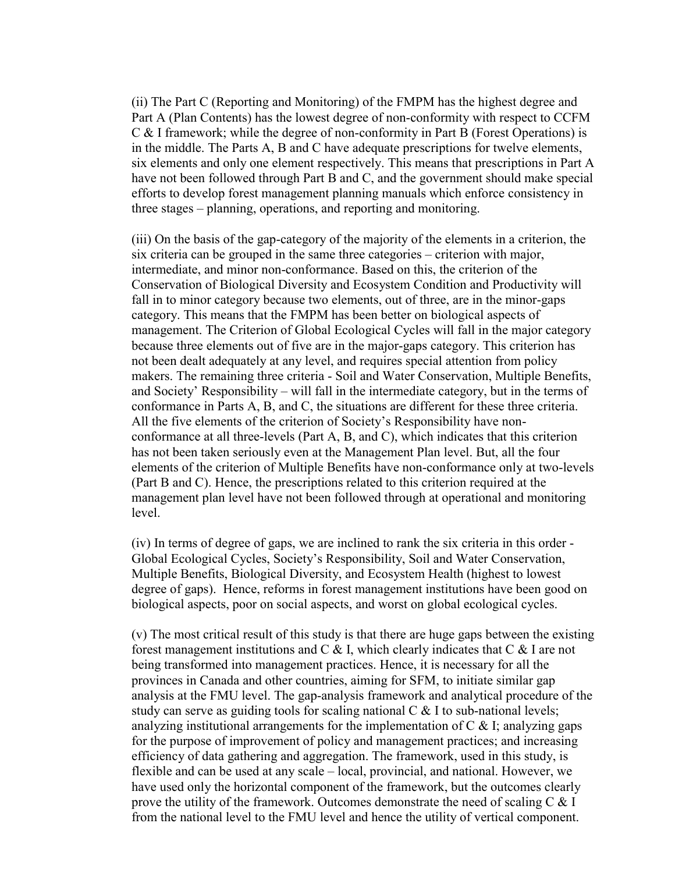(ii) The Part C (Reporting and Monitoring) of the FMPM has the highest degree and Part A (Plan Contents) has the lowest degree of non-conformity with respect to CCFM C & I framework; while the degree of non-conformity in Part B (Forest Operations) is in the middle. The Parts A, B and C have adequate prescriptions for twelve elements, six elements and only one element respectively. This means that prescriptions in Part A have not been followed through Part B and C, and the government should make special efforts to develop forest management planning manuals which enforce consistency in three stages – planning, operations, and reporting and monitoring.

(iii) On the basis of the gap-category of the majority of the elements in a criterion, the six criteria can be grouped in the same three categories – criterion with major, intermediate, and minor non-conformance. Based on this, the criterion of the Conservation of Biological Diversity and Ecosystem Condition and Productivity will fall in to minor category because two elements, out of three, are in the minor-gaps category. This means that the FMPM has been better on biological aspects of management. The Criterion of Global Ecological Cycles will fall in the major category because three elements out of five are in the major-gaps category. This criterion has not been dealt adequately at any level, and requires special attention from policy makers. The remaining three criteria - Soil and Water Conservation, Multiple Benefits, and Society' Responsibility – will fall in the intermediate category, but in the terms of conformance in Parts A, B, and C, the situations are different for these three criteria. All the five elements of the criterion of Society's Responsibility have nonconformance at all three-levels (Part A, B, and C), which indicates that this criterion has not been taken seriously even at the Management Plan level. But, all the four elements of the criterion of Multiple Benefits have non-conformance only at two-levels (Part B and C). Hence, the prescriptions related to this criterion required at the management plan level have not been followed through at operational and monitoring level.

(iv) In terms of degree of gaps, we are inclined to rank the six criteria in this order - Global Ecological Cycles, Society's Responsibility, Soil and Water Conservation, Multiple Benefits, Biological Diversity, and Ecosystem Health (highest to lowest degree of gaps). Hence, reforms in forest management institutions have been good on biological aspects, poor on social aspects, and worst on global ecological cycles.

(v) The most critical result of this study is that there are huge gaps between the existing forest management institutions and C & I, which clearly indicates that C & I are not being transformed into management practices. Hence, it is necessary for all the provinces in Canada and other countries, aiming for SFM, to initiate similar gap analysis at the FMU level. The gap-analysis framework and analytical procedure of the study can serve as guiding tools for scaling national  $C \& 1$  to sub-national levels; analyzing institutional arrangements for the implementation of C & I; analyzing gaps for the purpose of improvement of policy and management practices; and increasing efficiency of data gathering and aggregation. The framework, used in this study, is flexible and can be used at any scale – local, provincial, and national. However, we have used only the horizontal component of the framework, but the outcomes clearly prove the utility of the framework. Outcomes demonstrate the need of scaling C & I from the national level to the FMU level and hence the utility of vertical component.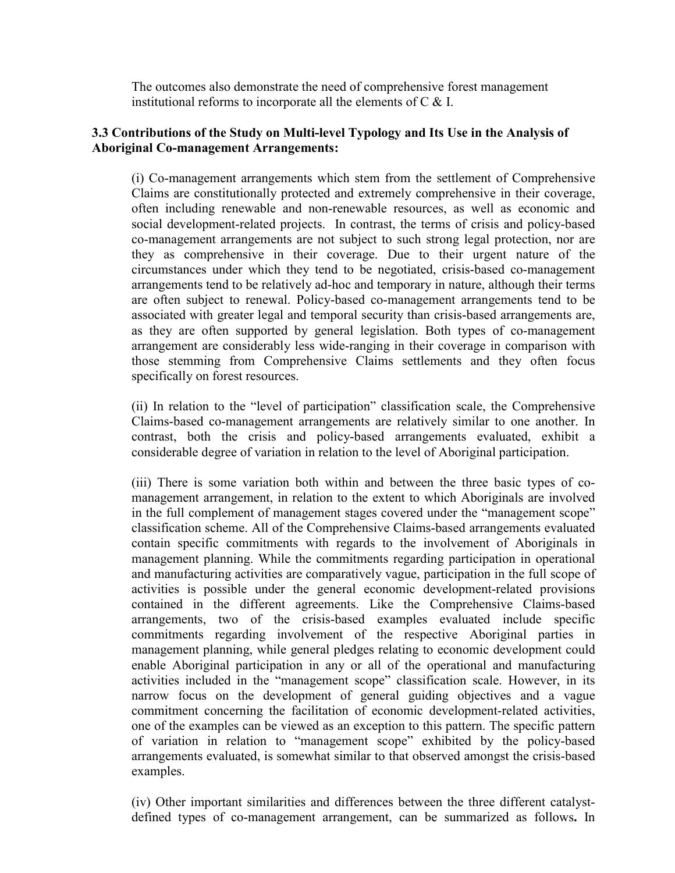The outcomes also demonstrate the need of comprehensive forest management institutional reforms to incorporate all the elements of C & I.

#### **3.3 Contributions of the Study on Multi-level Typology and Its Use in the Analysis of Aboriginal Co-management Arrangements:**

(i) Co-management arrangements which stem from the settlement of Comprehensive Claims are constitutionally protected and extremely comprehensive in their coverage, often including renewable and non-renewable resources, as well as economic and social development-related projects. In contrast, the terms of crisis and policy-based co-management arrangements are not subject to such strong legal protection, nor are they as comprehensive in their coverage. Due to their urgent nature of the circumstances under which they tend to be negotiated, crisis-based co-management arrangements tend to be relatively ad-hoc and temporary in nature, although their terms are often subject to renewal. Policy-based co-management arrangements tend to be associated with greater legal and temporal security than crisis-based arrangements are, as they are often supported by general legislation. Both types of co-management arrangement are considerably less wide-ranging in their coverage in comparison with those stemming from Comprehensive Claims settlements and they often focus specifically on forest resources.

(ii) In relation to the "level of participation" classification scale, the Comprehensive Claims-based co-management arrangements are relatively similar to one another. In contrast, both the crisis and policy-based arrangements evaluated, exhibit a considerable degree of variation in relation to the level of Aboriginal participation.

(iii) There is some variation both within and between the three basic types of comanagement arrangement, in relation to the extent to which Aboriginals are involved in the full complement of management stages covered under the "management scope" classification scheme. All of the Comprehensive Claims-based arrangements evaluated contain specific commitments with regards to the involvement of Aboriginals in management planning. While the commitments regarding participation in operational and manufacturing activities are comparatively vague, participation in the full scope of activities is possible under the general economic development-related provisions contained in the different agreements. Like the Comprehensive Claims-based arrangements, two of the crisis-based examples evaluated include specific commitments regarding involvement of the respective Aboriginal parties in management planning, while general pledges relating to economic development could enable Aboriginal participation in any or all of the operational and manufacturing activities included in the "management scope" classification scale. However, in its narrow focus on the development of general guiding objectives and a vague commitment concerning the facilitation of economic development-related activities, one of the examples can be viewed as an exception to this pattern. The specific pattern of variation in relation to "management scope" exhibited by the policy-based arrangements evaluated, is somewhat similar to that observed amongst the crisis-based examples.

(iv) Other important similarities and differences between the three different catalystdefined types of co-management arrangement, can be summarized as follows**.** In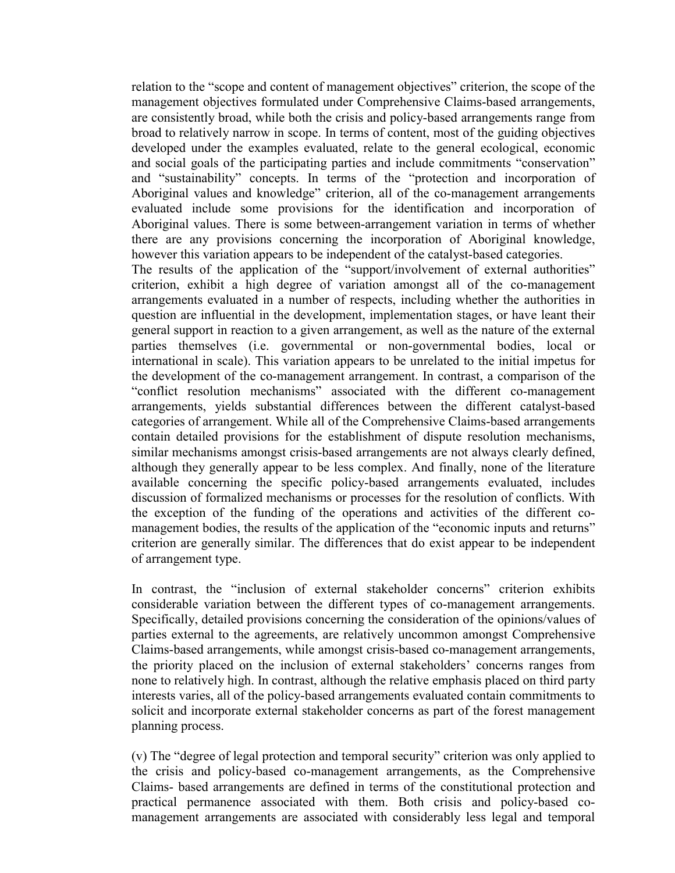relation to the "scope and content of management objectives" criterion, the scope of the management objectives formulated under Comprehensive Claims-based arrangements, are consistently broad, while both the crisis and policy-based arrangements range from broad to relatively narrow in scope. In terms of content, most of the guiding objectives developed under the examples evaluated, relate to the general ecological, economic and social goals of the participating parties and include commitments "conservation" and "sustainability" concepts. In terms of the "protection and incorporation of Aboriginal values and knowledge" criterion, all of the co-management arrangements evaluated include some provisions for the identification and incorporation of Aboriginal values. There is some between-arrangement variation in terms of whether there are any provisions concerning the incorporation of Aboriginal knowledge, however this variation appears to be independent of the catalyst-based categories.

The results of the application of the "support/involvement of external authorities" criterion, exhibit a high degree of variation amongst all of the co-management arrangements evaluated in a number of respects, including whether the authorities in question are influential in the development, implementation stages, or have leant their general support in reaction to a given arrangement, as well as the nature of the external parties themselves (i.e. governmental or non-governmental bodies, local or international in scale). This variation appears to be unrelated to the initial impetus for the development of the co-management arrangement. In contrast, a comparison of the "conflict resolution mechanisms" associated with the different co-management arrangements, yields substantial differences between the different catalyst-based categories of arrangement. While all of the Comprehensive Claims-based arrangements contain detailed provisions for the establishment of dispute resolution mechanisms, similar mechanisms amongst crisis-based arrangements are not always clearly defined, although they generally appear to be less complex. And finally, none of the literature available concerning the specific policy-based arrangements evaluated, includes discussion of formalized mechanisms or processes for the resolution of conflicts. With the exception of the funding of the operations and activities of the different comanagement bodies, the results of the application of the "economic inputs and returns" criterion are generally similar. The differences that do exist appear to be independent of arrangement type.

In contrast, the "inclusion of external stakeholder concerns" criterion exhibits considerable variation between the different types of co-management arrangements. Specifically, detailed provisions concerning the consideration of the opinions/values of parties external to the agreements, are relatively uncommon amongst Comprehensive Claims-based arrangements, while amongst crisis-based co-management arrangements, the priority placed on the inclusion of external stakeholders' concerns ranges from none to relatively high. In contrast, although the relative emphasis placed on third party interests varies, all of the policy-based arrangements evaluated contain commitments to solicit and incorporate external stakeholder concerns as part of the forest management planning process.

(v) The "degree of legal protection and temporal security" criterion was only applied to the crisis and policy-based co-management arrangements, as the Comprehensive Claims- based arrangements are defined in terms of the constitutional protection and practical permanence associated with them. Both crisis and policy-based comanagement arrangements are associated with considerably less legal and temporal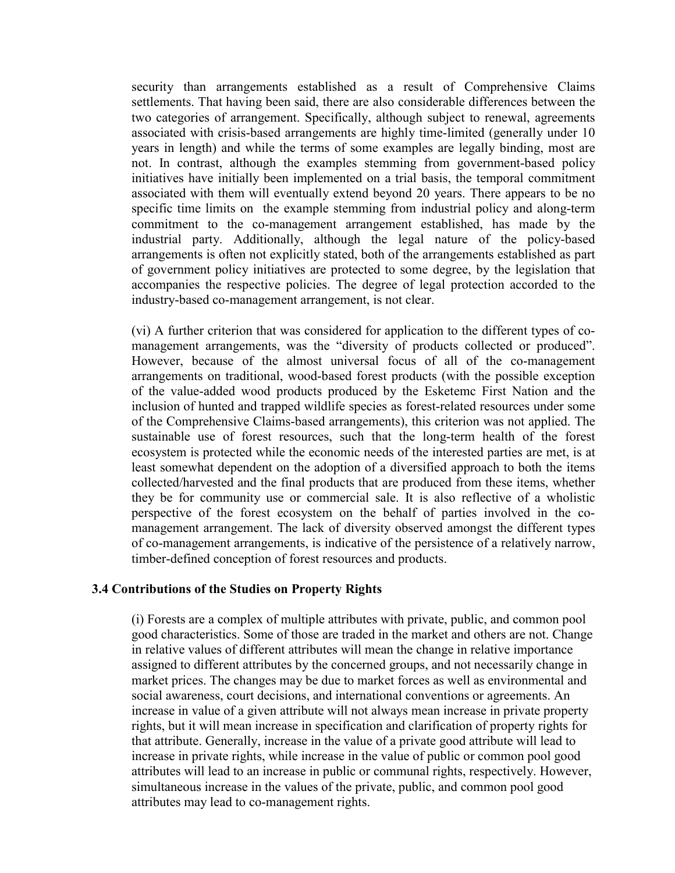security than arrangements established as a result of Comprehensive Claims settlements. That having been said, there are also considerable differences between the two categories of arrangement. Specifically, although subject to renewal, agreements associated with crisis-based arrangements are highly time-limited (generally under 10 years in length) and while the terms of some examples are legally binding, most are not. In contrast, although the examples stemming from government-based policy initiatives have initially been implemented on a trial basis, the temporal commitment associated with them will eventually extend beyond 20 years. There appears to be no specific time limits on the example stemming from industrial policy and along-term commitment to the co-management arrangement established, has made by the industrial party. Additionally, although the legal nature of the policy-based arrangements is often not explicitly stated, both of the arrangements established as part of government policy initiatives are protected to some degree, by the legislation that accompanies the respective policies. The degree of legal protection accorded to the industry-based co-management arrangement, is not clear.

(vi) A further criterion that was considered for application to the different types of comanagement arrangements, was the "diversity of products collected or produced". However, because of the almost universal focus of all of the co-management arrangements on traditional, wood-based forest products (with the possible exception of the value-added wood products produced by the Esketemc First Nation and the inclusion of hunted and trapped wildlife species as forest-related resources under some of the Comprehensive Claims-based arrangements), this criterion was not applied. The sustainable use of forest resources, such that the long-term health of the forest ecosystem is protected while the economic needs of the interested parties are met, is at least somewhat dependent on the adoption of a diversified approach to both the items collected/harvested and the final products that are produced from these items, whether they be for community use or commercial sale. It is also reflective of a wholistic perspective of the forest ecosystem on the behalf of parties involved in the comanagement arrangement. The lack of diversity observed amongst the different types of co-management arrangements, is indicative of the persistence of a relatively narrow, timber-defined conception of forest resources and products.

#### **3.4 Contributions of the Studies on Property Rights**

(i) Forests are a complex of multiple attributes with private, public, and common pool good characteristics. Some of those are traded in the market and others are not. Change in relative values of different attributes will mean the change in relative importance assigned to different attributes by the concerned groups, and not necessarily change in market prices. The changes may be due to market forces as well as environmental and social awareness, court decisions, and international conventions or agreements. An increase in value of a given attribute will not always mean increase in private property rights, but it will mean increase in specification and clarification of property rights for that attribute. Generally, increase in the value of a private good attribute will lead to increase in private rights, while increase in the value of public or common pool good attributes will lead to an increase in public or communal rights, respectively. However, simultaneous increase in the values of the private, public, and common pool good attributes may lead to co-management rights.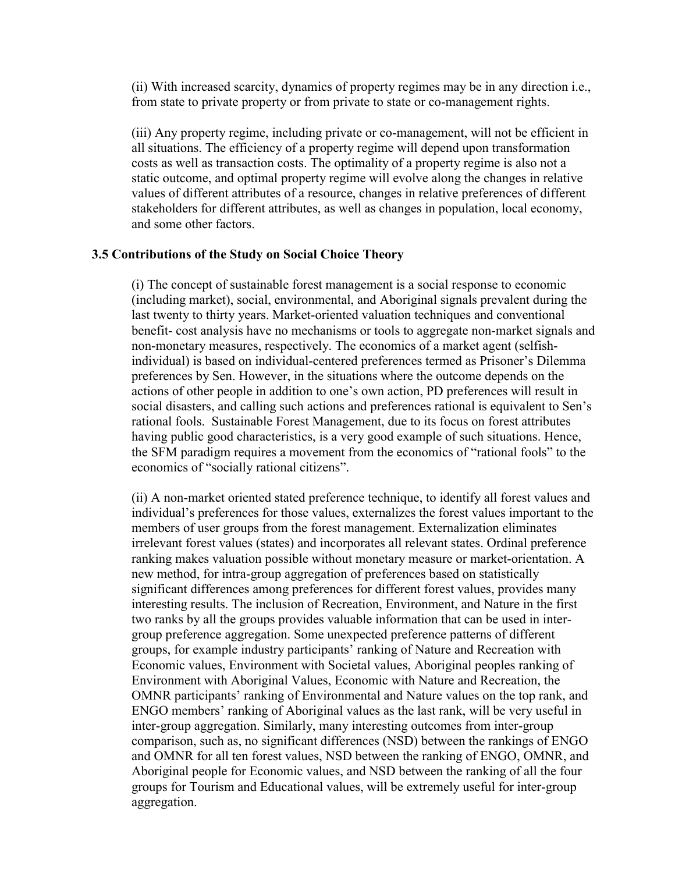(ii) With increased scarcity, dynamics of property regimes may be in any direction i.e., from state to private property or from private to state or co-management rights.

(iii) Any property regime, including private or co-management, will not be efficient in all situations. The efficiency of a property regime will depend upon transformation costs as well as transaction costs. The optimality of a property regime is also not a static outcome, and optimal property regime will evolve along the changes in relative values of different attributes of a resource, changes in relative preferences of different stakeholders for different attributes, as well as changes in population, local economy, and some other factors.

#### **3.5 Contributions of the Study on Social Choice Theory**

(i) The concept of sustainable forest management is a social response to economic (including market), social, environmental, and Aboriginal signals prevalent during the last twenty to thirty years. Market-oriented valuation techniques and conventional benefit- cost analysis have no mechanisms or tools to aggregate non-market signals and non-monetary measures, respectively. The economics of a market agent (selfishindividual) is based on individual-centered preferences termed as Prisoner's Dilemma preferences by Sen. However, in the situations where the outcome depends on the actions of other people in addition to one's own action, PD preferences will result in social disasters, and calling such actions and preferences rational is equivalent to Sen's rational fools. Sustainable Forest Management, due to its focus on forest attributes having public good characteristics, is a very good example of such situations. Hence, the SFM paradigm requires a movement from the economics of "rational fools" to the economics of "socially rational citizens".

(ii) A non-market oriented stated preference technique, to identify all forest values and individual's preferences for those values, externalizes the forest values important to the members of user groups from the forest management. Externalization eliminates irrelevant forest values (states) and incorporates all relevant states. Ordinal preference ranking makes valuation possible without monetary measure or market-orientation. A new method, for intra-group aggregation of preferences based on statistically significant differences among preferences for different forest values, provides many interesting results. The inclusion of Recreation, Environment, and Nature in the first two ranks by all the groups provides valuable information that can be used in intergroup preference aggregation. Some unexpected preference patterns of different groups, for example industry participants' ranking of Nature and Recreation with Economic values, Environment with Societal values, Aboriginal peoples ranking of Environment with Aboriginal Values, Economic with Nature and Recreation, the OMNR participants' ranking of Environmental and Nature values on the top rank, and ENGO members' ranking of Aboriginal values as the last rank, will be very useful in inter-group aggregation. Similarly, many interesting outcomes from inter-group comparison, such as, no significant differences (NSD) between the rankings of ENGO and OMNR for all ten forest values, NSD between the ranking of ENGO, OMNR, and Aboriginal people for Economic values, and NSD between the ranking of all the four groups for Tourism and Educational values, will be extremely useful for inter-group aggregation.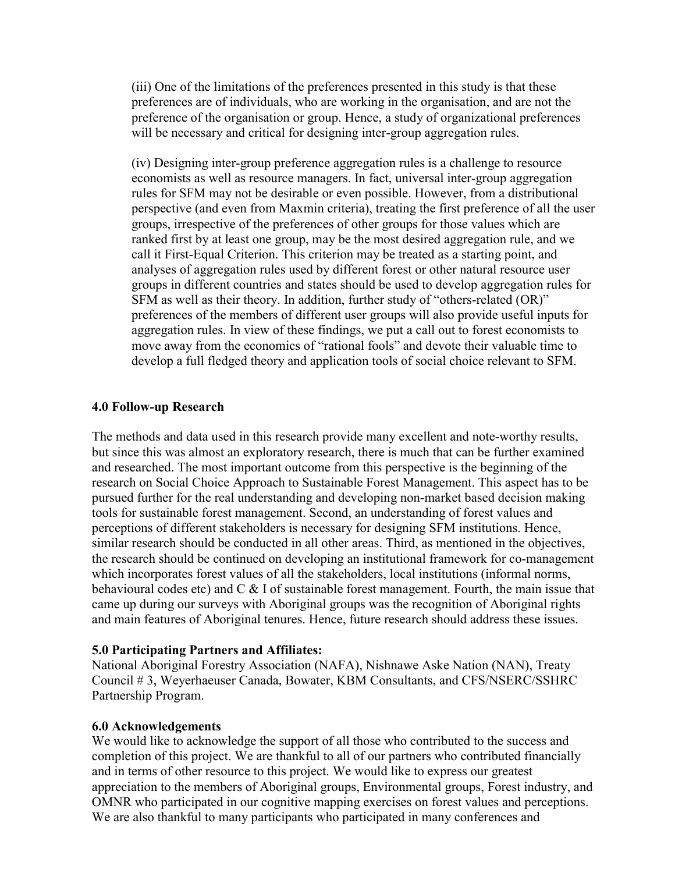(iii) One of the limitations of the preferences presented in this study is that these preferences are of individuals, who are working in the organisation, and are not the preference of the organisation or group. Hence, a study of organizational preferences will be necessary and critical for designing inter-group aggregation rules.

(iv) Designing inter-group preference aggregation rules is a challenge to resource economists as well as resource managers. In fact, universal inter-group aggregation rules for SFM may not be desirable or even possible. However, from a distributional perspective (and even from Maxmin criteria), treating the first preference of all the user groups, irrespective of the preferences of other groups for those values which are ranked first by at least one group, may be the most desired aggregation rule, and we call it First-Equal Criterion. This criterion may be treated as a starting point, and analyses of aggregation rules used by different forest or other natural resource user groups in different countries and states should be used to develop aggregation rules for SFM as well as their theory. In addition, further study of "others-related (OR)" preferences of the members of different user groups will also provide useful inputs for aggregation rules. In view of these findings, we put a call out to forest economists to move away from the economics of "rational fools" and devote their valuable time to develop a full fledged theory and application tools of social choice relevant to SFM.

#### **4.0 Follow-up Research**

The methods and data used in this research provide many excellent and note-worthy results, but since this was almost an exploratory research, there is much that can be further examined and researched. The most important outcome from this perspective is the beginning of the research on Social Choice Approach to Sustainable Forest Management. This aspect has to be pursued further for the real understanding and developing non-market based decision making tools for sustainable forest management. Second, an understanding of forest values and perceptions of different stakeholders is necessary for designing SFM institutions. Hence, similar research should be conducted in all other areas. Third, as mentioned in the objectives, the research should be continued on developing an institutional framework for co-management which incorporates forest values of all the stakeholders, local institutions (informal norms, behavioural codes etc) and  $C \& 1$  of sustainable forest management. Fourth, the main issue that came up during our surveys with Aboriginal groups was the recognition of Aboriginal rights and main features of Aboriginal tenures. Hence, future research should address these issues.

#### **5.0 Participating Partners and Affiliates:**

National Aboriginal Forestry Association (NAFA), Nishnawe Aske Nation (NAN), Treaty Council # 3, Weyerhaeuser Canada, Bowater, KBM Consultants, and CFS/NSERC/SSHRC Partnership Program.

#### **6.0 Acknowledgements**

We would like to acknowledge the support of all those who contributed to the success and completion of this project. We are thankful to all of our partners who contributed financially and in terms of other resource to this project. We would like to express our greatest appreciation to the members of Aboriginal groups, Environmental groups, Forest industry, and OMNR who participated in our cognitive mapping exercises on forest values and perceptions. We are also thankful to many participants who participated in many conferences and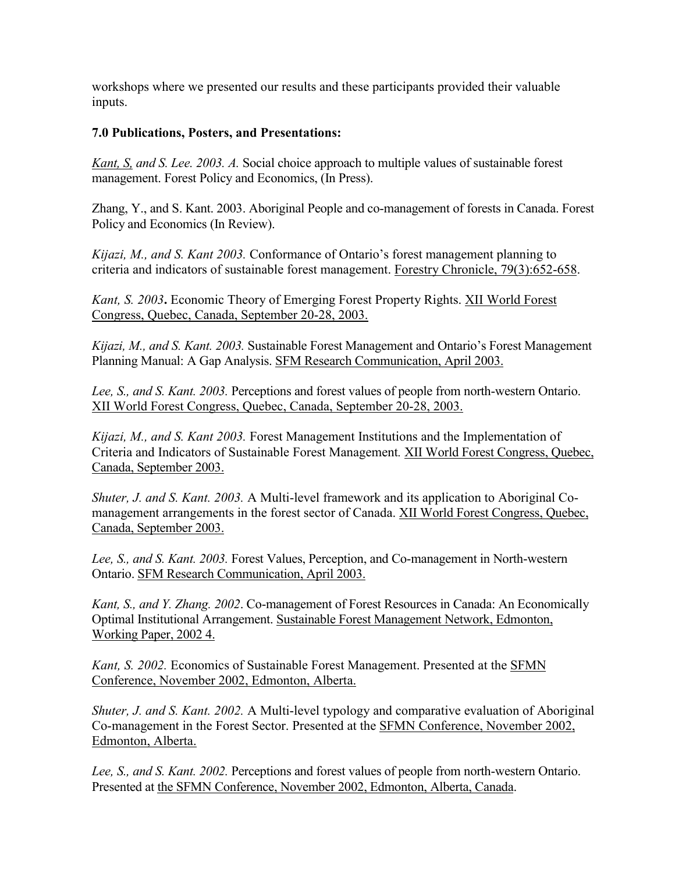workshops where we presented our results and these participants provided their valuable inputs.

#### **7.0 Publications, Posters, and Presentations:**

*Kant, S, and S. Lee. 2003. A.* Social choice approach to multiple values of sustainable forest management. Forest Policy and Economics, (In Press).

Zhang, Y., and S. Kant. 2003. Aboriginal People and co-management of forests in Canada. Forest Policy and Economics (In Review).

*Kijazi, M., and S. Kant 2003.* Conformance of Ontario's forest management planning to criteria and indicators of sustainable forest management. Forestry Chronicle, 79(3):652-658.

*Kant, S. 2003***.** Economic Theory of Emerging Forest Property Rights. XII World Forest Congress, Quebec, Canada, September 20-28, 2003.

*Kijazi, M., and S. Kant. 2003.* Sustainable Forest Management and Ontario's Forest Management Planning Manual: A Gap Analysis. SFM Research Communication, April 2003.

*Lee, S., and S. Kant. 2003.* Perceptions and forest values of people from north-western Ontario. XII World Forest Congress, Quebec, Canada, September 20-28, 2003.

*Kijazi, M., and S. Kant 2003.* Forest Management Institutions and the Implementation of Criteria and Indicators of Sustainable Forest Management*.* XII World Forest Congress, Quebec, Canada, September 2003.

*Shuter, J. and S. Kant. 2003.* A Multi-level framework and its application to Aboriginal Comanagement arrangements in the forest sector of Canada. XII World Forest Congress, Quebec, Canada, September 2003.

*Lee, S., and S. Kant. 2003.* Forest Values, Perception, and Co-management in North-western Ontario. SFM Research Communication, April 2003.

*Kant, S., and Y. Zhang. 2002*. Co-management of Forest Resources in Canada: An Economically Optimal Institutional Arrangement. Sustainable Forest Management Network, Edmonton, Working Paper, 2002 4.

*Kant, S. 2002.* Economics of Sustainable Forest Management. Presented at the SFMN Conference, November 2002, Edmonton, Alberta.

*Shuter, J. and S. Kant. 2002.* A Multi-level typology and comparative evaluation of Aboriginal Co-management in the Forest Sector. Presented at the SFMN Conference, November 2002, Edmonton, Alberta.

*Lee, S., and S. Kant. 2002.* Perceptions and forest values of people from north-western Ontario. Presented at the SFMN Conference, November 2002, Edmonton, Alberta, Canada.